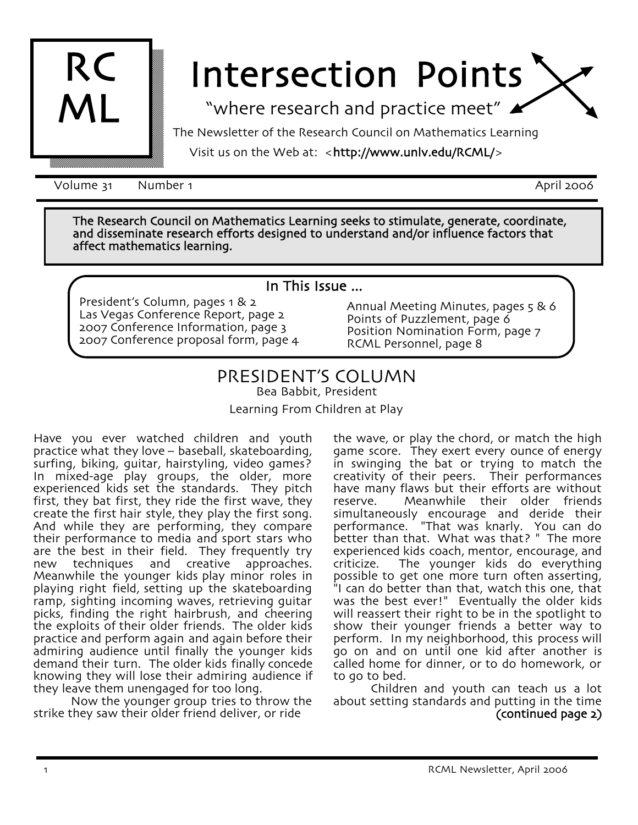

# Intersection Points

"where research and practice meet"

The Newsletter of the Research Council on Mathematics Learning

Visit us on the Web at: <http://www.unlv.edu/RCML/>

Volume 31 Number 1 April 2006

The Research Council on Mathematics Learning seeks to stimulate, generate, coordinate, and disseminate research efforts designed to understand and/or influence factors that affect mathematics learning.

#### In This Issue ...

President's Column, pages 1 & 2 Las Vegas Conference Report, page 2 2007 Conference Information, page 3 2007 Conference proposal form, page 4

Annual Meeting Minutes, pages 5 & 6 Points of Puzzlement, page 6 Position Nomination Form, page 7 RCML Personnel, page 8

## PRESIDENT'S COLUMN

Bea Babbit, President

Learning From Children at Play

Have you ever watched children and youth practice what they love – baseball, skateboarding, surfing, biking, guitar, hairstyling, video games? In mixed-age play groups, the older, more experienced kids set the standards. They pitch first, they bat first, they ride the first wave, they create the first hair style, they play the first song. And while they are performing, they compare their performance to media and sport stars who are the best in their field. They frequently try new techniques and creative approaches. Meanwhile the younger kids play minor roles in playing right field, setting up the skateboarding ramp, sighting incoming waves, retrieving guitar picks, finding the right hairbrush, and cheering the exploits of their older friends. The older kids practice and perform again and again before their admiring audience until finally the younger kids demand their turn. The older kids finally concede knowing they will lose their admiring audience if they leave them unengaged for too long.

Now the younger group tries to throw the strike they saw their older friend deliver, or ride

the wave, or play the chord, or match the high game score. They exert every ounce of energy in swinging the bat or trying to match the creativity of their peers. Their performances have many flaws but their efforts are without reserve. Meanwhile their older friends simultaneously encourage and deride their performance. "That was knarly. You can do better than that. What was that? " The more experienced kids coach, mentor, encourage, and criticize. The younger kids do everything possible to get one more turn often asserting, "I can do better than that, watch this one, that was the best ever!" Eventually the older kids will reassert their right to be in the spotlight to show their younger friends a better way to perform. In my neighborhood, this process will go on and on until one kid after another is called home for dinner, or to do homework, or<br>to go to bed.

Children and youth can teach us a lot about setting standards and putting in the time (continued page 2)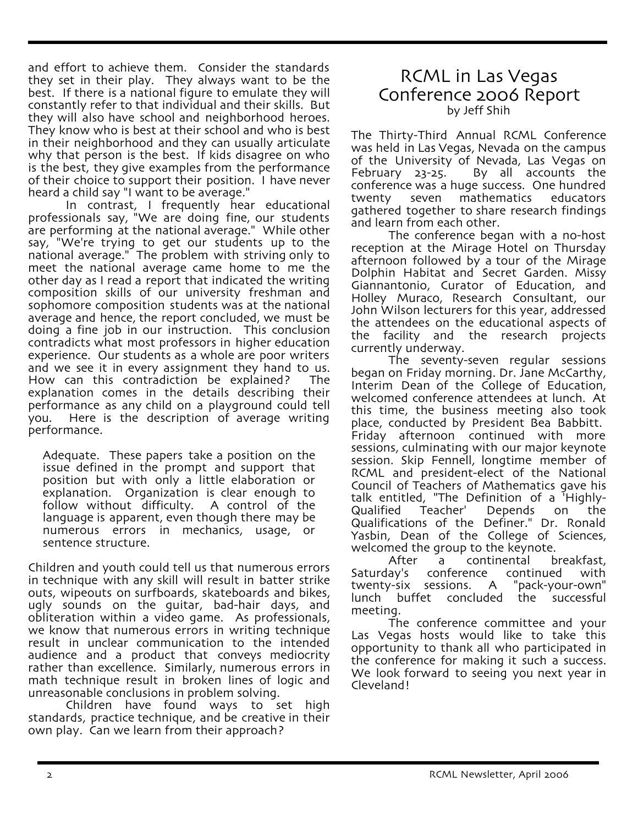and effort to achieve them. Consider the standards they set in their play. They always want to be the best. If there is a national figure to emulate they will constantly refer to that individual and their skills. But they will also have school and neighborhood heroes. They know who is best at their school and who is best in their neighborhood and they can usually articulate why that person is the best. If kids disagree on who is the best, they give examples from the performance of their choice to support their position. I have never heard a child say "I want to be average."

In contrast, I frequently hear educational professionals say, "We are doing fine, our students are performing at the national average." While other say, "We're trying to get our students up to the national average." The problem with striving only to meet the national average came home to me the other day as I read a report that indicated the writing composition skills of our university freshman and sophomore composition students was at the national average and hence, the report concluded, we must be doing a fine job in our instruction. This conclusion contradicts what most professors in higher education experience. Our students as a whole are poor writers and we see it in every assignment they hand to us. How can this contradiction be explained? The explanation comes in the details describing their performance as any child on a playground could tell you. Here is the description of average writing performance.

Adequate. These papers take a position on the issue defined in the prompt and support that position but with only a little elaboration or explanation. Organization is clear enough to follow without difficulty. A control of the language is apparent, even though there may be numerous errors in mechanics, usage, or sentence structure.

Children and youth could tell us that numerous errors in technique with any skill will result in batter strike outs, wipeouts on surfboards, skateboards and bikes, ugly sounds on the guitar, bad-hair days, and obliteration within a video game. As professionals, we know that numerous errors in writing technique result in unclear communication to the intended audience and a product that conveys mediocrity rather than excellence. Similarly, numerous errors in math technique result in broken lines of logic and unreasonable conclusions in problem solving.

Children have found ways to set high standards, practice technique, and be creative in their own play. Can we learn from their approach?

### RCML in Las Vegas Conference 2006 Report by Jeff Shih

The Thirty-Third Annual RCML Conference was held in Las Vegas, Nevada on the campus of the University of Nevada, Las Vegas on February 23-25. By all accounts the conference was a huge success. One hundred twenty seven mathematics educators gathered together to share research findings<br>and learn from each other.

The conference began with a no-host reception at the Mirage Hotel on Thursday afternoon followed by a tour of the Mirage Dolphin Habitat and Secret Garden. Missy Giannantonio, Curator of Education, and Holley Muraco, Research Consultant, our John Wilson lecturers for this year, addressed the attendees on the educational aspects of the facility and the research projects

currently underway.<br>The seventy-seven regular sessions<br>began on Friday morning. Dr. Jane McCarthy, Interim Dean of the College of Education, *Welcomed conference* attendees at lunch. At this time, the business meeting also took place, conducted by President Bea Babbitt. Friday afternoon continued with more sessions, culminating with our major keynote session. Skip Fennell, longtime member of RCML and president-elect of the National Council of Teachers of Mathematics gave his talk entitled, "The Definition of a 'Highly-Teacher' Depends on the Qualifications of the Definer." Dr. Ronald Yasbin, Dean of the College of Sciences, welcomed the group to the keynote.

After a continental breakfast,<br>Saturday's conference continued with conference continued with<br>sessions. A "pack-your-own" twenty-six sessions. lunch buffet concluded the successful meeting.

The conference committee and your Las Vegas hosts would like to take this opportunity to thank all who participated in the conference for making it such a success. We look forward to seeing you next year in Cleveland!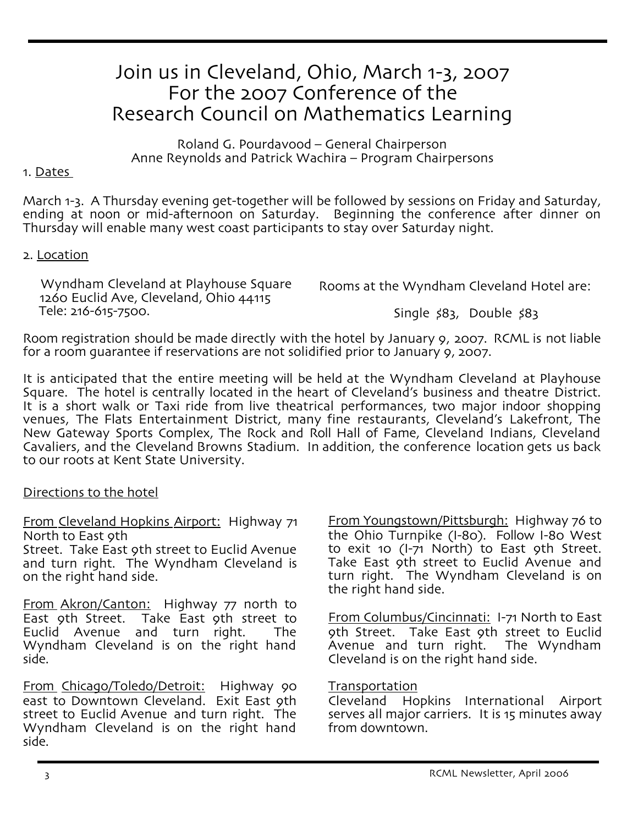# Join us in Cleveland, Ohio, March 1-3, 2007 For the 2007 Conference of the Research Council on Mathematics Learning

Roland G. Pourdavood – General Chairperson Anne Reynolds and Patrick Wachira – Program Chairpersons

#### 1. Dates

March 1-3. A Thursday evening get-together will be followed by sessions on Friday and Saturday,<br>ending at noon or mid-afternoon on Saturday. Beginning the conference after dinner on Thursday will enable many west coast participants to stay over Saturday night.

#### 2. Location

 Wyndham Cleveland at Playhouse Square 1260 Euclid Ave, Cleveland, Ohio <sup>44115</sup> Tele: 216-615-7500.

Rooms at the Wyndham Cleveland Hotel are:

Single \$83, Double \$83

Room registration should be made directly with the hotel by January 9, 2007. RCML is not liable for a room guarantee if reservations are not solidified prior to January 9, 2007.

It is anticipated that the entire meeting will be held at the Wyndham Cleveland at Playhouse Square. The hotel is centrally located in the heart of Cleveland's business and theatre District. It is a short walk or Taxi ride from live theatrical performances, two major indoor shopping venues, The Flats Entertainment District, many fine restaurants, Cleveland's Lakefront, The New Gateway Sports Complex, The Rock and Roll Hall of Fame, Cleveland Indians, Cleveland Cavaliers, and the Cleveland Browns Stadium. In addition, the conference location gets us back to our roots at Kent State University.

#### Directions to the hotel

From Cleveland Hopkins Airport: Highway 71 North to East 9th

Street. Take East 9th street to Euclid Avenue and turn right. The Wyndham Cleveland is on the right hand side.

From Akron/Canton: Highway 77 north to East 9th Street. Take East 9th street to Euclid Avenue and turn right. The Wyndham Cleveland is on the right hand side.

From Chicago/Toledo/Detroit: Highway 90 east to Downtown Cleveland. Exit East oth street to Euclid Avenue and turn right. The Wyndham Cleveland is on the right hand side.

From Youngstown/Pittsburgh: Highway 76 to the Ohio Turnpike (I-80). Follow I-80 West to exit 10 (I-71 North) to East 9th Street. Take East 9th street to Euclid Avenue and turn right. The Wyndham Cleveland is on the right hand side.

From Columbus/Cincinnati: I-71 North to East 9th Street. Take East 9th street to Euclid Avenue and turn right. The Wyndham Cleveland is on the right hand side.

**Transportation** 

Cleveland Hopkins International Airport serves all major carriers. It is 15 minutes away from downtown.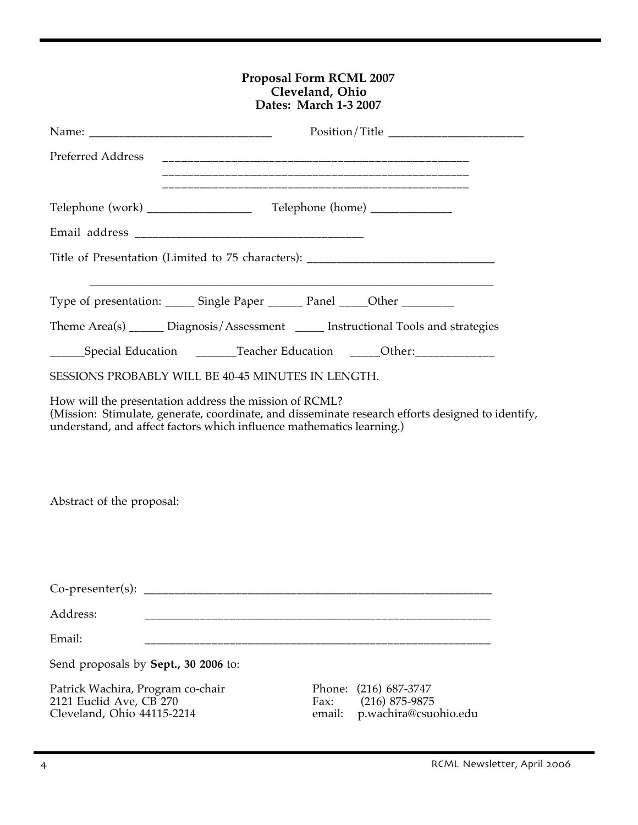#### **Proposal Form RCML 2007 Cleveland, Ohio Dates: March 1-3 2007**

| Preferred Address                                                                                                                                                                                                                    |                                                                                   |                |                                                                                    |  |
|--------------------------------------------------------------------------------------------------------------------------------------------------------------------------------------------------------------------------------------|-----------------------------------------------------------------------------------|----------------|------------------------------------------------------------------------------------|--|
|                                                                                                                                                                                                                                      |                                                                                   |                |                                                                                    |  |
|                                                                                                                                                                                                                                      |                                                                                   |                |                                                                                    |  |
|                                                                                                                                                                                                                                      |                                                                                   |                |                                                                                    |  |
|                                                                                                                                                                                                                                      | Title of Presentation (Limited to 75 characters): _______________________________ |                |                                                                                    |  |
|                                                                                                                                                                                                                                      | Type of presentation: ______ Single Paper _______ Panel _____Other __________     |                |                                                                                    |  |
|                                                                                                                                                                                                                                      |                                                                                   |                | Theme Area(s) ______ Diagnosis/Assessment _____ Instructional Tools and strategies |  |
|                                                                                                                                                                                                                                      |                                                                                   |                | ______Special Education _________Teacher Education ______Other:_________________   |  |
|                                                                                                                                                                                                                                      | SESSIONS PROBABLY WILL BE 40-45 MINUTES IN LENGTH.                                |                |                                                                                    |  |
| How will the presentation address the mission of RCML?<br>(Mission: Stimulate, generate, coordinate, and disseminate research efforts designed to identify,<br>understand, and affect factors which influence mathematics learning.) |                                                                                   |                |                                                                                    |  |
| Abstract of the proposal:                                                                                                                                                                                                            |                                                                                   |                |                                                                                    |  |
|                                                                                                                                                                                                                                      |                                                                                   |                |                                                                                    |  |
| Address:                                                                                                                                                                                                                             |                                                                                   |                |                                                                                    |  |
| Email:                                                                                                                                                                                                                               |                                                                                   |                |                                                                                    |  |
| Send proposals by Sept., 30 2006 to:                                                                                                                                                                                                 |                                                                                   |                |                                                                                    |  |
| Patrick Wachira, Program co-chair<br>2121 Euclid Ave, CB 270<br>Cleveland, Ohio 44115-2214                                                                                                                                           |                                                                                   | Fax:<br>email: | Phone: (216) 687-3747<br>$(216)$ 875-9875<br>p.wachira@csuohio.edu                 |  |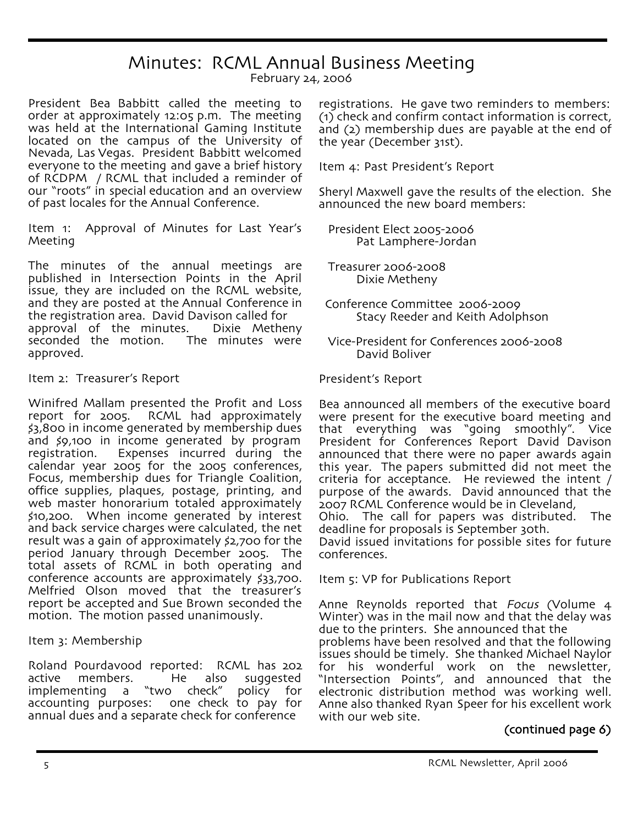## Minutes: RCML Annual Business Meeting

February 24, 2006

President Bea Babbitt called the meeting to order at approximately 12:05 p.m. The meeting was held at the International Gaming Institute located on the campus of the University of Nevada, Las Vegas. President Babbitt welcomed everyone to the meeting and gave a brief history of RCDPM / RCML that included a reminder of our "roots" in special education and an overview of past locales for the Annual Conference.

Item 1: Approval of Minutes for Last Year's Meeting

The minutes of the annual meetings are published in Intersection Points in the April issue, they are included on the RCML website, and they are posted at the Annual Conference in the registration area. David Davison called for approval of the minutes. Dixie Metheny seconded the motion. The minutes were approved.

#### Item 2: Treasurer's Report

Winifred Mallam presented the Profit and Loss report for 2005. RCML had approximately \$3,800 in income generated by membership dues and \$9,100 in income generated by program registration. Expenses incurred during the<br>calendar year 2005 for the 2005 conferences, Focus, membership dues for Triangle Coalition, office supplies, plaques, postage, printing, and web master honorarium totaled approximately \$10,200. When income generated by interest and back service charges were calculated, the net result was a gain of approximately \$2,700 for the period January through December 2005. The total assets of RCML in both operating and conference accounts are approximately \$33,700. Melfried Olson moved that the treasurer's report be accepted and Sue Brown seconded the motion. The motion passed unanimously.

#### Item 3: Membership

Roland Pourdavood reported: RCML has 202 active members. He also suggested<br>implementing a "two check" policy for implementing a "two check" accounting purposes: one check to pay for annual dues and a separate check for conference

registrations. He gave two reminders to members:<br>(1) check and confirm contact information is correct, and (2) membership dues are payable at the end of the year (December 31st).

Item 4: Past President's Report

Sheryl Maxwell gave the results of the election. She announced the new board members:

 President Elect 2005-2006 Pat Lamphere-Jordan

 Treasurer 2006-2008 Dixie Metheny

 Conference Committee 2006-2009 Stacy Reeder and Keith Adolphson

 Vice-President for Conferences 2006-2008 David Boliver

#### President's Report

Bea announced all members of the executive board were present for the executive board meeting and that everything was "going smoothly". Vice President for Conferences Report David Davison announced that there were no paper awards again this year. The papers submitted did not meet the criteria for acceptance. He reviewed the intent / purpose of the awards. David announced that the 2007 RCML Conference would be in Cleveland, Ohio. The call for papers was distributed. The deadline for proposals is September 30th.

David issued invitations for possible sites for future conferences.

Item 5: VP for Publications Report

Anne Reynolds reported that Focus (Volume 4 Winter) was in the mail now and that the delay was due to the printers. She announced that the problems have been resolved and that the following issues should be timely. She thanked Michael Naylor "Intersection Points", and announced that the<br>electronic distribution method was working well. Anne also thanked Ryan Speer for his excellent work<br>with our web site.

#### $(continued$  page  $6)$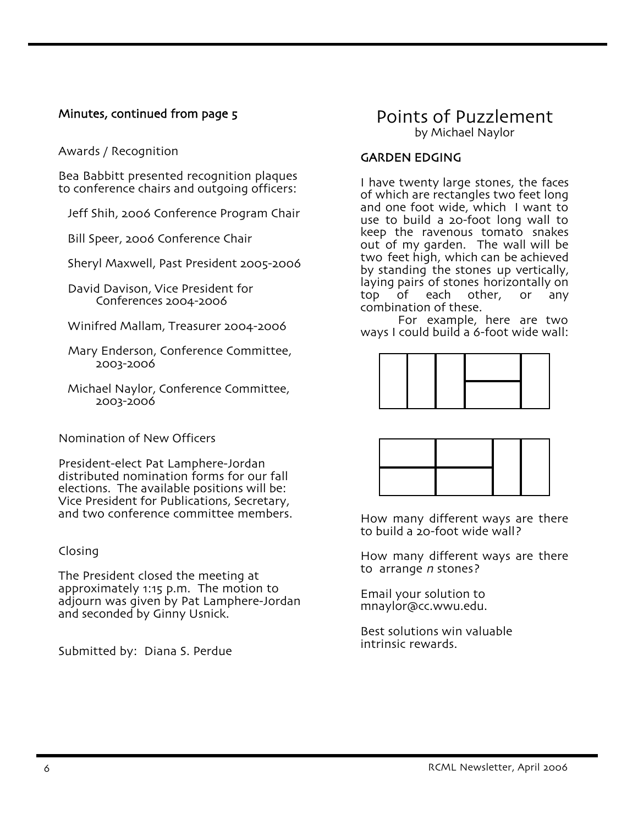#### Minutes, continued from page 5

Awards / Recognition

Bea Babbitt presented recognition plaques to conference chairs and outgoing officers:

Jeff Shih, 2006 Conference Program Chair

Bill Speer, 2006 Conference Chair

Sheryl Maxwell, Past President 2005-2006

 David Davison, Vice President for Conferences 2004-2006

Winifred Mallam, Treasurer 2004-2006

- Mary Enderson, Conference Committee, 2003-2006
- Michael Naylor, Conference Committee, 2003-2006

Nomination of New Officers

President-elect Pat Lamphere-Jordan distributed nomination forms for our fall elections. The available positions will be: Vice President for Publications, Secretary, and two conference committee members.

#### Closing

The President closed the meeting at approximately 1:15 p.m. The motion to adjourn was given by Pat Lamphere-Jordan and seconded by Ginny Usnick.

Submitted by: Diana S. Perdue

## Points of Puzzlement by Michael Naylor

#### GARDEN EDGING

I have twenty large stones, the faces of which are rectangles two feet long and one foot wide, which I want to use to build a 20-foot long wall to keep the ravenous tomato snakes out of my garden. The wall will be two feet high, which can be achieved<br>by standing the stones up vertically, laying pairs of stones horizontally on<br>top of each other, or any top of each other, or any

For example, here are two ways I could build a 6-foot wide wall:





How many different ways are there to build a 20-foot wide wall?

How many different ways are there to arrange *n* stones?

Email your solution to mnaylor@cc.wwu.edu.

Best solutions win valuable intrinsic rewards.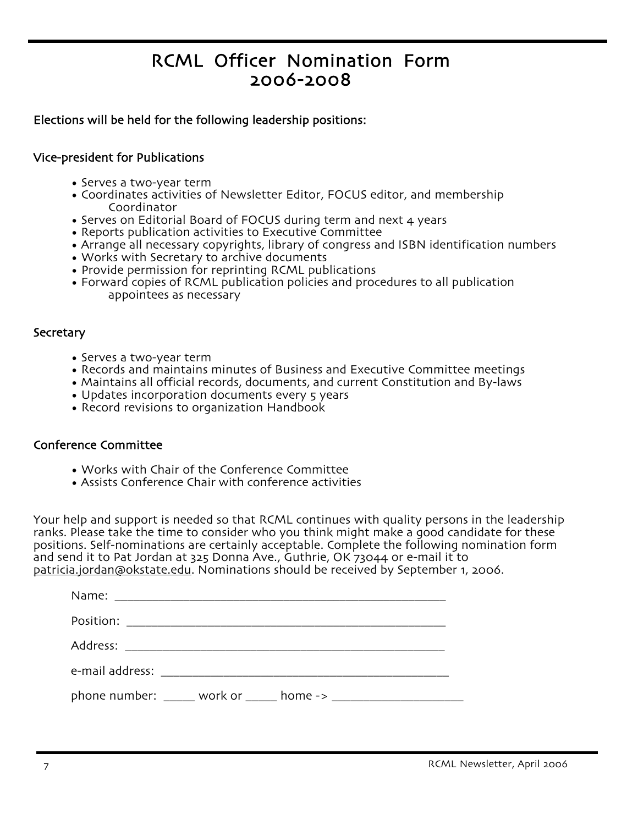# RCML Officer Nomination Form 2006-2008

#### Elections will be held for the following leadership positions:

#### Vice-president for Publications

- Serves a two-year term
- Coordinates activities of Newsletter Editor, FOCUS editor, and membership Coordinator
- Serves on Editorial Board of FOCUS during term and next 4 years
- Reports publication activities to Executive Committee
- Arrange all necessary copyrights, library of congress and ISBN identification numbers
- Works with Secretary to archive documents
- Provide permission for reprinting RCML publications
- Forward copies of RCML publication policies and procedures to all publication appointees as necessary

#### **Secretary**

- Serves a two-year term
- Records and maintains minutes of Business and Executive Committee meetings
- Maintains all official records, documents, and current Constitution and By-laws
- Updates incorporation documents every 5 years
- Record revisions to organization Handbook

#### Conference Committee

- Works with Chair of the Conference Committee
- Assists Conference Chair with conference activities

Your help and support is needed so that RCML continues with quality persons in the leadership ranks. Please take the time to consider who you think might make a good candidate for these positions. Self-nominations are certainly acceptable. Complete the following nomination form and send it to Pat Jordan at 325 Donna Ave., Guthrie, OK 73044 or e-mail it to patricia.jordan@okstate.edu. Nominations should be received by September 1, 2006.

| phone number: ______ work or _____ home -> ______________________ |
|-------------------------------------------------------------------|